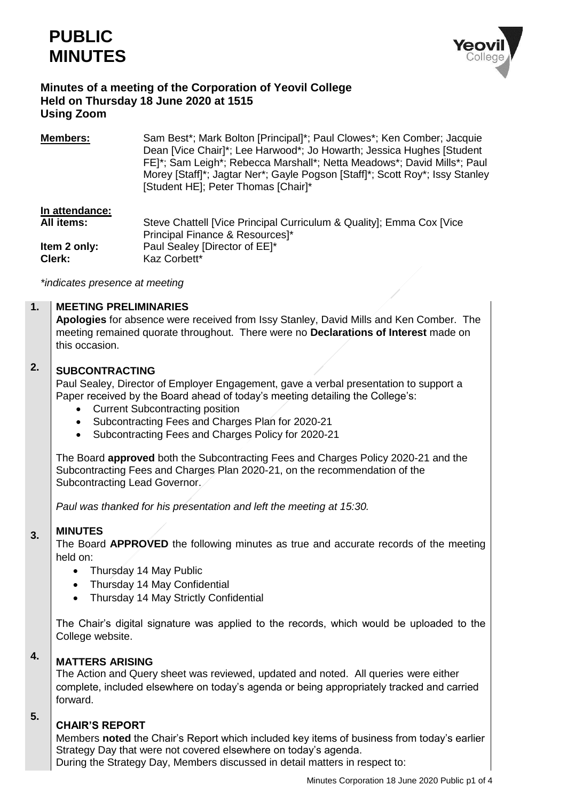



# **Minutes of a meeting of the Corporation of Yeovil College Held on Thursday 18 June 2020 at 1515 Using Zoom**

| <b>Members:</b> | Sam Best <sup>*</sup> ; Mark Bolton [Principal]*; Paul Clowes*; Ken Comber; Jacquie |
|-----------------|-------------------------------------------------------------------------------------|
|                 | Dean [Vice Chair]*; Lee Harwood*; Jo Howarth; Jessica Hughes [Student]              |
|                 | FE]*; Sam Leigh*; Rebecca Marshall*; Netta Meadows*; David Mills*; Paul             |
|                 | Morey [Staff]*; Jagtar Ner*; Gayle Pogson [Staff]*; Scott Roy*; Issy Stanley        |
|                 | [Student HE]; Peter Thomas [Chair]*                                                 |

# **In attendance:**

| All items:   | Steve Chattell [Vice Principal Curriculum & Quality]; Emma Cox [Vice |
|--------------|----------------------------------------------------------------------|
|              | Principal Finance & Resources]*                                      |
| Item 2 only: | Paul Sealey [Director of EE]*                                        |
| Clerk:       | Kaz Corbett*                                                         |

*\*indicates presence at meeting*

#### **1. MEETING PRELIMINARIES**

**Apologies** for absence were received from Issy Stanley, David Mills and Ken Comber. The meeting remained quorate throughout. There were no **Declarations of Interest** made on this occasion.

### **2. SUBCONTRACTING**

Paul Sealey, Director of Employer Engagement, gave a verbal presentation to support a Paper received by the Board ahead of today's meeting detailing the College's:

- Current Subcontracting position
- Subcontracting Fees and Charges Plan for 2020-21
- Subcontracting Fees and Charges Policy for 2020-21

The Board **approved** both the Subcontracting Fees and Charges Policy 2020-21 and the Subcontracting Fees and Charges Plan 2020-21, on the recommendation of the Subcontracting Lead Governor.

*Paul was thanked for his presentation and left the meeting at 15:30.*

#### **3. MINUTES**

The Board **APPROVED** the following minutes as true and accurate records of the meeting held on:

- Thursday 14 May Public
- Thursday 14 May Confidential
- Thursday 14 May Strictly Confidential

The Chair's digital signature was applied to the records, which would be uploaded to the College website.

### **4. MATTERS ARISING**

The Action and Query sheet was reviewed, updated and noted. All queries were either complete, included elsewhere on today's agenda or being appropriately tracked and carried forward.

# **CHAIR'S REPORT**

**5.**

Members **noted** the Chair's Report which included key items of business from today's earlier Strategy Day that were not covered elsewhere on today's agenda.

During the Strategy Day, Members discussed in detail matters in respect to: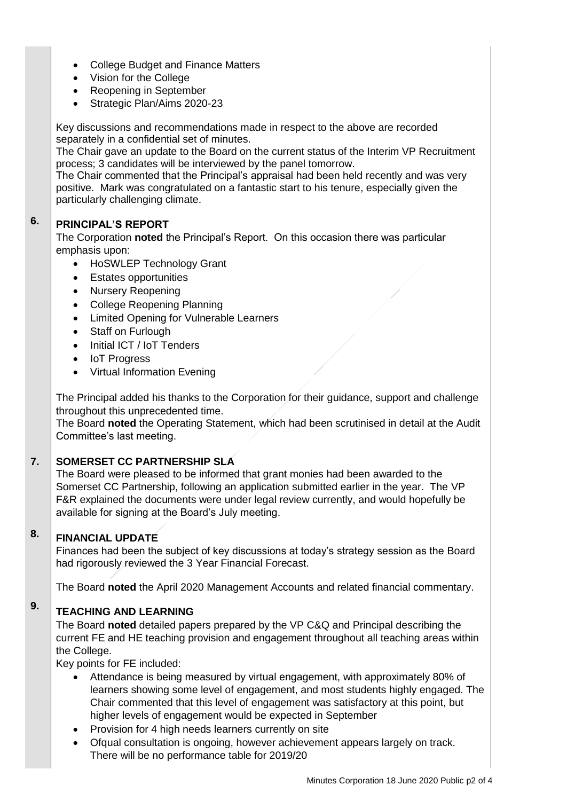- College Budget and Finance Matters
- Vision for the College
- Reopening in September
- Strategic Plan/Aims 2020-23

Key discussions and recommendations made in respect to the above are recorded separately in a confidential set of minutes.

The Chair gave an update to the Board on the current status of the Interim VP Recruitment process; 3 candidates will be interviewed by the panel tomorrow.

The Chair commented that the Principal's appraisal had been held recently and was very positive. Mark was congratulated on a fantastic start to his tenure, especially given the particularly challenging climate.

### **6. PRINCIPAL'S REPORT**

The Corporation **noted** the Principal's Report. On this occasion there was particular emphasis upon:

- HoSWLEP Technology Grant
- Estates opportunities
- Nursery Reopening
- College Reopening Planning
- Limited Opening for Vulnerable Learners
- Staff on Furlough
- Initial ICT / IoT Tenders
- IoT Progress
- Virtual Information Evening

The Principal added his thanks to the Corporation for their guidance, support and challenge throughout this unprecedented time.

The Board **noted** the Operating Statement, which had been scrutinised in detail at the Audit Committee's last meeting.

#### **7. SOMERSET CC PARTNERSHIP SLA**

The Board were pleased to be informed that grant monies had been awarded to the Somerset CC Partnership, following an application submitted earlier in the year. The VP F&R explained the documents were under legal review currently, and would hopefully be available for signing at the Board's July meeting.

### **8. FINANCIAL UPDATE**

Finances had been the subject of key discussions at today's strategy session as the Board had rigorously reviewed the 3 Year Financial Forecast.

The Board **noted** the April 2020 Management Accounts and related financial commentary.

### **9. TEACHING AND LEARNING**

The Board **noted** detailed papers prepared by the VP C&Q and Principal describing the current FE and HE teaching provision and engagement throughout all teaching areas within the College.

Key points for FE included:

- Attendance is being measured by virtual engagement, with approximately 80% of learners showing some level of engagement, and most students highly engaged. The Chair commented that this level of engagement was satisfactory at this point, but higher levels of engagement would be expected in September
- Provision for 4 high needs learners currently on site
- Ofqual consultation is ongoing, however achievement appears largely on track. There will be no performance table for 2019/20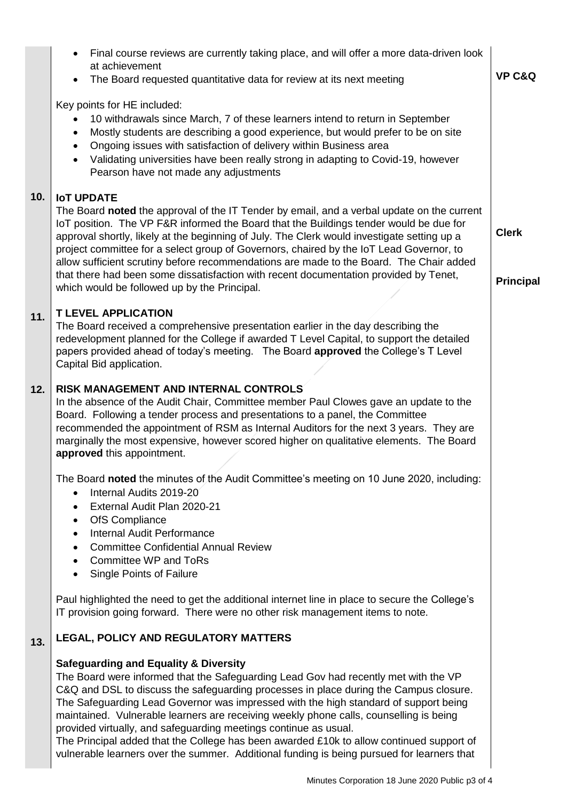|     | Final course reviews are currently taking place, and will offer a more data-driven look<br>at achievement<br>The Board requested quantitative data for review at its next meeting                                                                                                                                                                                                                                                                                                                                                                                                                                                                                                | <b>VP C&amp;Q</b>                |
|-----|----------------------------------------------------------------------------------------------------------------------------------------------------------------------------------------------------------------------------------------------------------------------------------------------------------------------------------------------------------------------------------------------------------------------------------------------------------------------------------------------------------------------------------------------------------------------------------------------------------------------------------------------------------------------------------|----------------------------------|
|     | Key points for HE included:<br>10 withdrawals since March, 7 of these learners intend to return in September<br>Mostly students are describing a good experience, but would prefer to be on site<br>$\bullet$<br>Ongoing issues with satisfaction of delivery within Business area<br>$\bullet$<br>Validating universities have been really strong in adapting to Covid-19, however<br>$\bullet$<br>Pearson have not made any adjustments                                                                                                                                                                                                                                        |                                  |
| 10. | <b>IoT UPDATE</b><br>The Board noted the approval of the IT Tender by email, and a verbal update on the current<br>IoT position. The VP F&R informed the Board that the Buildings tender would be due for<br>approval shortly, likely at the beginning of July. The Clerk would investigate setting up a<br>project committee for a select group of Governors, chaired by the IoT Lead Governor, to<br>allow sufficient scrutiny before recommendations are made to the Board. The Chair added<br>that there had been some dissatisfaction with recent documentation provided by Tenet,<br>which would be followed up by the Principal.                                          | <b>Clerk</b><br><b>Principal</b> |
| 11. | <b>T LEVEL APPLICATION</b><br>The Board received a comprehensive presentation earlier in the day describing the<br>redevelopment planned for the College if awarded T Level Capital, to support the detailed<br>papers provided ahead of today's meeting. The Board approved the College's T Level<br>Capital Bid application.                                                                                                                                                                                                                                                                                                                                                   |                                  |
| 12. | RISK MANAGEMENT AND INTERNAL CONTROLS<br>In the absence of the Audit Chair, Committee member Paul Clowes gave an update to the<br>Board. Following a tender process and presentations to a panel, the Committee<br>recommended the appointment of RSM as Internal Auditors for the next 3 years. They are<br>marginally the most expensive, however scored higher on qualitative elements. The Board<br>approved this appointment.                                                                                                                                                                                                                                               |                                  |
|     | The Board noted the minutes of the Audit Committee's meeting on 10 June 2020, including:<br>Internal Audits 2019-20<br>$\bullet$<br>External Audit Plan 2020-21<br>٠<br>OfS Compliance<br>$\bullet$<br>Internal Audit Performance<br>$\bullet$<br><b>Committee Confidential Annual Review</b><br>$\bullet$<br><b>Committee WP and ToRs</b><br>$\bullet$<br>Single Points of Failure<br>$\bullet$                                                                                                                                                                                                                                                                                 |                                  |
|     | Paul highlighted the need to get the additional internet line in place to secure the College's<br>IT provision going forward. There were no other risk management items to note.                                                                                                                                                                                                                                                                                                                                                                                                                                                                                                 |                                  |
| 13. | LEGAL, POLICY AND REGULATORY MATTERS                                                                                                                                                                                                                                                                                                                                                                                                                                                                                                                                                                                                                                             |                                  |
|     | <b>Safeguarding and Equality &amp; Diversity</b><br>The Board were informed that the Safeguarding Lead Gov had recently met with the VP<br>C&Q and DSL to discuss the safeguarding processes in place during the Campus closure.<br>The Safeguarding Lead Governor was impressed with the high standard of support being<br>maintained. Vulnerable learners are receiving weekly phone calls, counselling is being<br>provided virtually, and safeguarding meetings continue as usual.<br>The Principal added that the College has been awarded £10k to allow continued support of<br>vulnerable learners over the summer. Additional funding is being pursued for learners that |                                  |

 $\blacksquare$